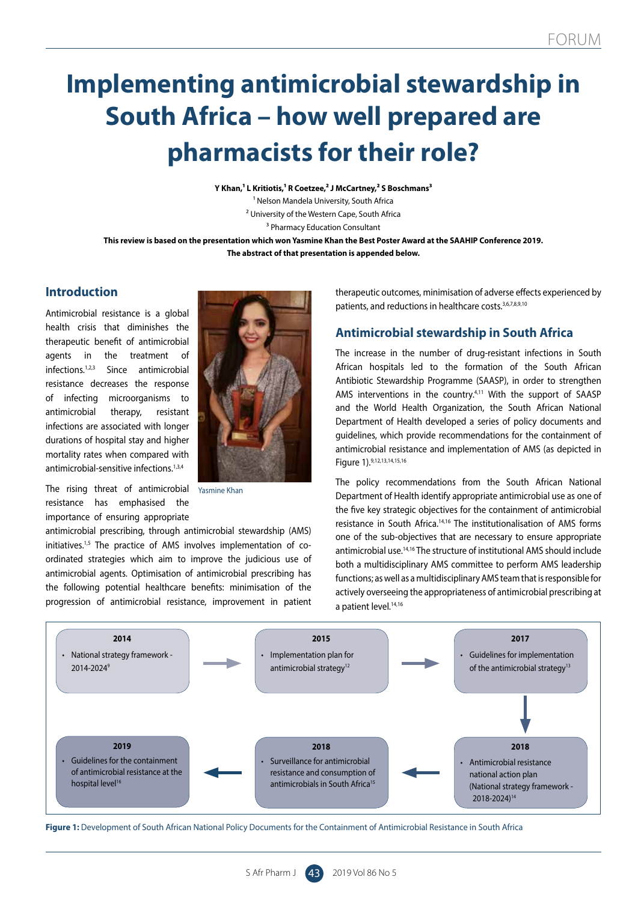# **Implementing antimicrobial stewardship in South Africa – how well prepared are pharmacists for their role?**

**Y Khan,<sup>1</sup> L Kritiotis,<sup>1</sup> R Coetzee,<sup>2</sup> J McCartney,<sup>2</sup> S Boschmans<sup>3</sup>** 1 Nelson Mandela University, South Africa 2 University of the Western Cape, South Africa 3 Pharmacy Education Consultant

**This review is based on the presentation which won Yasmine Khan the Best Poster Award at the SAAHIP Conference 2019. The abstract of that presentation is appended below.**

## **Introduction**

Antimicrobial resistance is a global health crisis that diminishes the therapeutic benefit of antimicrobial agents in the treatment of infections.1,2,3 Since antimicrobial resistance decreases the response of infecting microorganisms to antimicrobial therapy, resistant infections are associated with longer durations of hospital stay and higher mortality rates when compared with antimicrobial-sensitive infections.<sup>1,3,4</sup>

The rising threat of antimicrobial resistance has emphasised the importance of ensuring appropriate



Yasmine Khan

antimicrobial prescribing, through antimicrobial stewardship (AMS) initiatives.<sup>1,5</sup> The practice of AMS involves implementation of coordinated strategies which aim to improve the judicious use of antimicrobial agents. Optimisation of antimicrobial prescribing has the following potential healthcare benefits: minimisation of the progression of antimicrobial resistance, improvement in patient

therapeutic outcomes, minimisation of adverse effects experienced by patients, and reductions in healthcare costs.<sup>3,6,7,8,9,10</sup>

# **Antimicrobial stewardship in South Africa**

The increase in the number of drug-resistant infections in South African hospitals led to the formation of the South African Antibiotic Stewardship Programme (SAASP), in order to strengthen AMS interventions in the country.<sup>4,11</sup> With the support of SAASP and the World Health Organization, the South African National Department of Health developed a series of policy documents and guidelines, which provide recommendations for the containment of antimicrobial resistance and implementation of AMS (as depicted in Figure 1).9,12,13,14,15,16

The policy recommendations from the South African National Department of Health identify appropriate antimicrobial use as one of the five key strategic objectives for the containment of antimicrobial resistance in South Africa.14,16 The institutionalisation of AMS forms one of the sub-objectives that are necessary to ensure appropriate antimicrobial use.<sup>14,16</sup> The structure of institutional AMS should include both a multidisciplinary AMS committee to perform AMS leadership functions; as well as a multidisciplinary AMS team that is responsible for actively overseeing the appropriateness of antimicrobial prescribing at a patient level.<sup>14,16</sup>



Figure 1: Development of South African National Policy Documents for the Containment of Antimicrobial Resistance in South Africa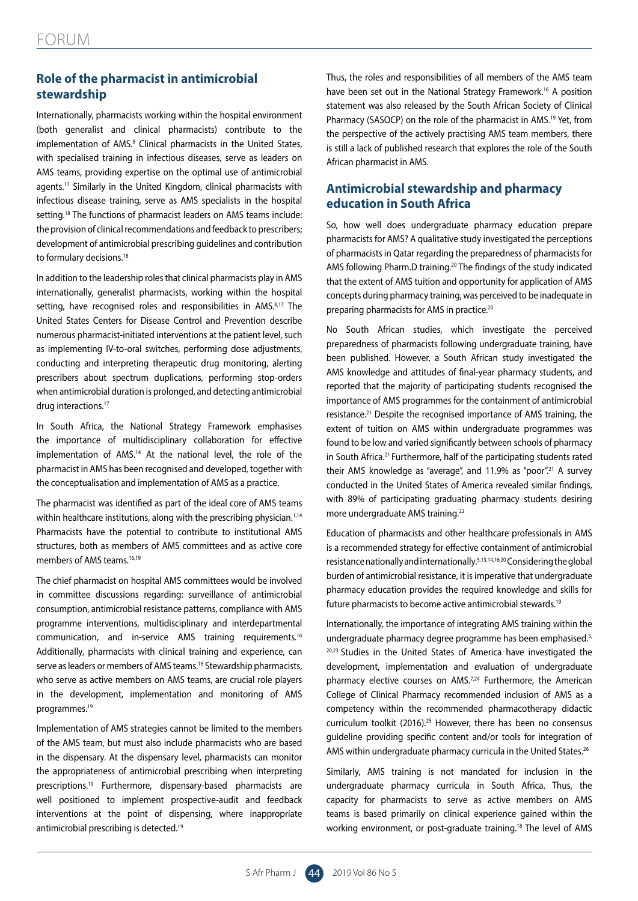# **Role of the pharmacist in antimicrobial stewardship**

Internationally, pharmacists working within the hospital environment (both generalist and clinical pharmacists) contribute to the implementation of AMS.<sup>8</sup> Clinical pharmacists in the United States, with specialised training in infectious diseases, serve as leaders on AMS teams, providing expertise on the optimal use of antimicrobial agents.<sup>17</sup> Similarly in the United Kingdom, clinical pharmacists with infectious disease training, serve as AMS specialists in the hospital setting.<sup>18</sup> The functions of pharmacist leaders on AMS teams include: the provision of clinical recommendations and feedback to prescribers; development of antimicrobial prescribing guidelines and contribution to formulary decisions.<sup>18</sup>

In addition to the leadership roles that clinical pharmacists play in AMS internationally, generalist pharmacists, working within the hospital setting, have recognised roles and responsibilities in AMS.<sup>8,17</sup> The United States Centers for Disease Control and Prevention describe numerous pharmacist-initiated interventions at the patient level, such as implementing IV-to-oral switches, performing dose adjustments, conducting and interpreting therapeutic drug monitoring, alerting prescribers about spectrum duplications, performing stop-orders when antimicrobial duration is prolonged, and detecting antimicrobial drug interactions.<sup>17</sup>

In South Africa, the National Strategy Framework emphasises the importance of multidisciplinary collaboration for effective implementation of AMS.<sup>14</sup> At the national level, the role of the pharmacist in AMS has been recognised and developed, together with the conceptualisation and implementation of AMS as a practice.

The pharmacist was identified as part of the ideal core of AMS teams within healthcare institutions, along with the prescribing physician.<sup>1,14</sup> Pharmacists have the potential to contribute to institutional AMS structures, both as members of AMS committees and as active core members of AMS teams.<sup>16,19</sup>

The chief pharmacist on hospital AMS committees would be involved in committee discussions regarding: surveillance of antimicrobial consumption, antimicrobial resistance patterns, compliance with AMS programme interventions, multidisciplinary and interdepartmental communication, and in-service AMS training requirements.16 Additionally, pharmacists with clinical training and experience, can serve as leaders or members of AMS teams.<sup>16</sup> Stewardship pharmacists, who serve as active members on AMS teams, are crucial role players in the development, implementation and monitoring of AMS programmes.19

Implementation of AMS strategies cannot be limited to the members of the AMS team, but must also include pharmacists who are based in the dispensary. At the dispensary level, pharmacists can monitor the appropriateness of antimicrobial prescribing when interpreting prescriptions.19 Furthermore, dispensary-based pharmacists are well positioned to implement prospective-audit and feedback interventions at the point of dispensing, where inappropriate antimicrobial prescribing is detected.19

Thus, the roles and responsibilities of all members of the AMS team have been set out in the National Strategy Framework.<sup>16</sup> A position statement was also released by the South African Society of Clinical Pharmacy (SASOCP) on the role of the pharmacist in AMS.<sup>19</sup> Yet, from the perspective of the actively practising AMS team members, there is still a lack of published research that explores the role of the South African pharmacist in AMS.

# **Antimicrobial stewardship and pharmacy education in South Africa**

So, how well does undergraduate pharmacy education prepare pharmacists for AMS? A qualitative study investigated the perceptions of pharmacists in Qatar regarding the preparedness of pharmacists for AMS following Pharm.D training.20 The findings of the study indicated that the extent of AMS tuition and opportunity for application of AMS concepts during pharmacy training, was perceived to be inadequate in preparing pharmacists for AMS in practice.<sup>20</sup>

No South African studies, which investigate the perceived preparedness of pharmacists following undergraduate training, have been published. However, a South African study investigated the AMS knowledge and attitudes of final-year pharmacy students, and reported that the majority of participating students recognised the importance of AMS programmes for the containment of antimicrobial resistance.<sup>21</sup> Despite the recognised importance of AMS training, the extent of tuition on AMS within undergraduate programmes was found to be low and varied significantly between schools of pharmacy in South Africa.21 Furthermore, half of the participating students rated their AMS knowledge as "average", and 11.9% as "poor".<sup>21</sup> A survey conducted in the United States of America revealed similar findings, with 89% of participating graduating pharmacy students desiring more undergraduate AMS training.22

Education of pharmacists and other healthcare professionals in AMS is a recommended strategy for effective containment of antimicrobial resistance nationally and internationally.5,13,14,16,20 Considering the global burden of antimicrobial resistance, it is imperative that undergraduate pharmacy education provides the required knowledge and skills for future pharmacists to become active antimicrobial stewards.19

Internationally, the importance of integrating AMS training within the undergraduate pharmacy degree programme has been emphasised.<sup>5,</sup> <sup>20,23</sup> Studies in the United States of America have investigated the development, implementation and evaluation of undergraduate pharmacy elective courses on AMS.<sup>7,24</sup> Furthermore, the American College of Clinical Pharmacy recommended inclusion of AMS as a competency within the recommended pharmacotherapy didactic curriculum toolkit (2016).25 However, there has been no consensus guideline providing specific content and/or tools for integration of AMS within undergraduate pharmacy curricula in the United States.<sup>26</sup>

Similarly, AMS training is not mandated for inclusion in the undergraduate pharmacy curricula in South Africa. Thus, the capacity for pharmacists to serve as active members on AMS teams is based primarily on clinical experience gained within the working environment, or post-graduate training.18 The level of AMS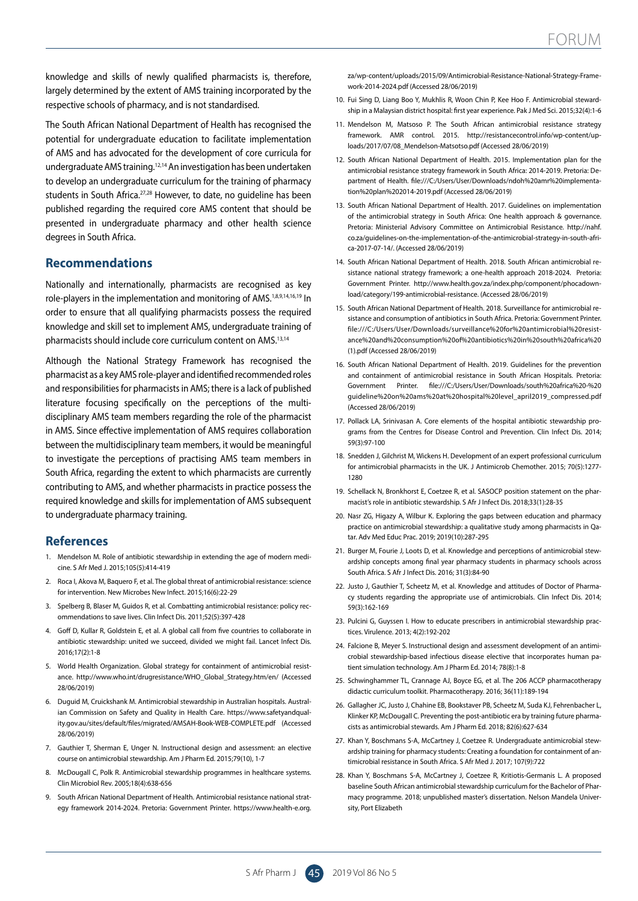knowledge and skills of newly qualified pharmacists is, therefore, largely determined by the extent of AMS training incorporated by the respective schools of pharmacy, and is not standardised.

The South African National Department of Health has recognised the potential for undergraduate education to facilitate implementation of AMS and has advocated for the development of core curricula for undergraduate AMS training.12,14 An investigation has been undertaken to develop an undergraduate curriculum for the training of pharmacy students in South Africa.<sup>27,28</sup> However, to date, no quideline has been published regarding the required core AMS content that should be presented in undergraduate pharmacy and other health science degrees in South Africa.

## **Recommendations**

Nationally and internationally, pharmacists are recognised as key role-players in the implementation and monitoring of AMS.1,8,9,14,16,19 In order to ensure that all qualifying pharmacists possess the required knowledge and skill set to implement AMS, undergraduate training of pharmacists should include core curriculum content on AMS.13,14

Although the National Strategy Framework has recognised the pharmacist as a key AMS role-player and identified recommended roles and responsibilities for pharmacists in AMS; there is a lack of published literature focusing specifically on the perceptions of the multidisciplinary AMS team members regarding the role of the pharmacist in AMS. Since effective implementation of AMS requires collaboration between the multidisciplinary team members, it would be meaningful to investigate the perceptions of practising AMS team members in South Africa, regarding the extent to which pharmacists are currently contributing to AMS, and whether pharmacists in practice possess the required knowledge and skills for implementation of AMS subsequent to undergraduate pharmacy training.

## **References**

- 1. Mendelson M. Role of antibiotic stewardship in extending the age of modern medicine. S Afr Med J. 2015;105(5):414-419
- 2. Roca I, Akova M, Baquero F, et al. The global threat of antimicrobial resistance: science for intervention. New Microbes New Infect. 2015;16(6):22-29
- 3. Spelberg B, Blaser M, Guidos R, et al. Combatting antimicrobial resistance: policy recommendations to save lives. Clin Infect Dis. 2011;52(5):397-428
- 4. Goff D, Kullar R, Goldstein E, et al. A global call from five countries to collaborate in antibiotic stewardship: united we succeed, divided we might fail. Lancet Infect Dis. 2016;17(2):1-8
- 5. World Health Organization. Global strategy for containment of antimicrobial resistance. http://www.who.int/drugresistance/WHO\_Global\_Strategy.htm/en/ (Accessed 28/06/2019)
- 6. Duguid M, Cruickshank M. Antimicrobial stewardship in Australian hospitals. Australian Commission on Safety and Quality in Health Care. https://www.safetyandquality.gov.au/sites/default/files/migrated/AMSAH-Book-WEB-COMPLETE.pdf (Accessed 28/06/2019)
- 7. Gauthier T, Sherman E, Unger N. Instructional design and assessment: an elective course on antimicrobial stewardship. Am J Pharm Ed. 2015;79(10), 1-7
- 8. McDougall C, Polk R. Antimicrobial stewardship programmes in healthcare systems. Clin Microbiol Rev. 2005;18(4):638-656
- 9. South African National Department of Health. Antimicrobial resistance national strategy framework 2014-2024. Pretoria: Government Printer. https://www.health-e.org.

za/wp-content/uploads/2015/09/Antimicrobial-Resistance-National-Strategy-Framework-2014-2024.pdf (Accessed 28/06/2019)

- 10. Fui Sing D, Liang Boo Y, Mukhlis R, Woon Chin P, Kee Hoo F. Antimicrobial stewardship in a Malaysian district hospital: first year experience. Pak J Med Sci. 2015;32(4):1-6
- 11. Mendelson M, Matsoso P. The South African antimicrobial resistance strategy framework. AMR control. 2015. http://resistancecontrol.info/wp-content/uploads/2017/07/08\_Mendelson-Matsotso.pdf (Accessed 28/06/2019)
- 12. South African National Department of Health. 2015. Implementation plan for the antimicrobial resistance strategy framework in South Africa: 2014-2019. Pretoria: Department of Health. file:///C:/Users/User/Downloads/ndoh%20amr%20implementation%20plan%202014-2019.pdf (Accessed 28/06/2019)
- 13. South African National Department of Health. 2017. Guidelines on implementation of the antimicrobial strategy in South Africa: One health approach & governance. Pretoria: Ministerial Advisory Committee on Antimicrobial Resistance. http://nahf. co.za/guidelines-on-the-implementation-of-the-antimicrobial-strategy-in-south-africa-2017-07-14/. (Accessed 28/06/2019)
- 14. South African National Department of Health. 2018. South African antimicrobial resistance national strategy framework; a one-health approach 2018-2024. Pretoria: Government Printer. http://www.health.gov.za/index.php/component/phocadownload/category/199-antimicrobial-resistance. (Accessed 28/06/2019)
- 15. South African National Department of Health. 2018. Surveillance for antimicrobial resistance and consumption of antibiotics in South Africa. Pretoria: Government Printer. file:///C:/Users/User/Downloads/surveillance%20for%20antimicrobial%20resistance%20and%20consumption%20of%20antibiotics%20in%20south%20africa%20 (1).pdf (Accessed 28/06/2019)
- 16. South African National Department of Health. 2019. Guidelines for the prevention and containment of antimicrobial resistance in South African Hospitals. Pretoria: Government Printer. file:///C:/Users/User/Downloads/south%20africa%20-%20 guideline%20on%20ams%20at%20hospital%20level\_april2019\_compressed.pdf (Accessed 28/06/2019)
- 17. Pollack LA, Srinivasan A. Core elements of the hospital antibiotic stewardship programs from the Centres for Disease Control and Prevention. Clin Infect Dis. 2014; 59(3):97-100
- 18. Snedden J, Gilchrist M, Wickens H. Development of an expert professional curriculum for antimicrobial pharmacists in the UK. J Antimicrob Chemother. 2015; 70(5):1277- 1280
- 19. Schellack N, Bronkhorst E, Coetzee R, et al. SASOCP position statement on the pharmacist's role in antibiotic stewardship. S Afr J Infect Dis. 2018;33(1):28-35
- 20. Nasr ZG, Higazy A, Wilbur K. Exploring the gaps between education and pharmacy practice on antimicrobial stewardship: a qualitative study among pharmacists in Qatar. Adv Med Educ Prac. 2019; 2019(10):287-295
- 21. Burger M, Fourie J, Loots D, et al. Knowledge and perceptions of antimicrobial stewardship concepts among final year pharmacy students in pharmacy schools across South Africa. S Afr J Infect Dis. 2016; 31(3):84-90
- 22. Justo J, Gauthier T, Scheetz M, et al. Knowledge and attitudes of Doctor of Pharmacy students regarding the appropriate use of antimicrobials. Clin Infect Dis. 2014; 59(3):162-169
- 23. Pulcini G, Guyssen I. How to educate prescribers in antimicrobial stewardship practices. Virulence. 2013; 4(2):192-202
- 24. Falcione B, Meyer S. Instructional design and assessment development of an antimicrobial stewardship-based infectious disease elective that incorporates human patient simulation technology. Am J Pharm Ed. 2014; 78(8):1-8
- 25. Schwinghammer TL, Crannage AJ, Boyce EG, et al. The 206 ACCP pharmacotherapy didactic curriculum toolkit. Pharmacotherapy. 2016; 36(11):189-194
- 26. Gallagher JC, Justo J, Chahine EB, Bookstaver PB, Scheetz M, Suda KJ, Fehrenbacher L, Klinker KP, McDougall C. Preventing the post-antibiotic era by training future pharmacists as antimicrobial stewards. Am J Pharm Ed. 2018; 82(6):627-634
- 27. Khan Y, Boschmans S-A, McCartney J, Coetzee R. Undergraduate antimicrobial stewardship training for pharmacy students: Creating a foundation for containment of antimicrobial resistance in South Africa. S Afr Med J. 2017; 107(9):722
- 28. Khan Y, Boschmans S-A, McCartney J, Coetzee R, Kritiotis-Germanis L. A proposed baseline South African antimicrobial stewardship curriculum for the Bachelor of Pharmacy programme. 2018; unpublished master's dissertation. Nelson Mandela University, Port Elizabeth